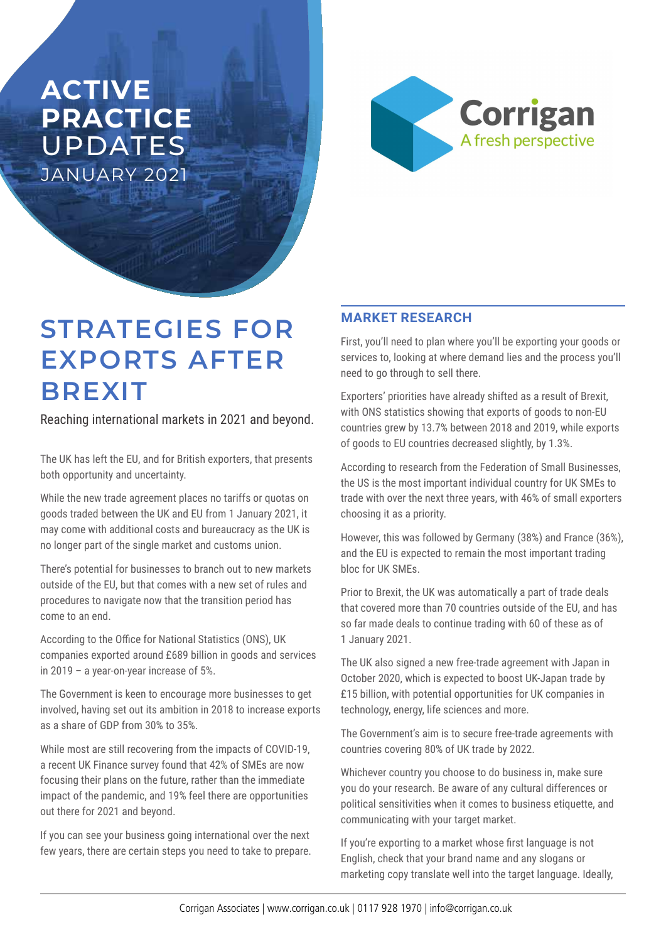## **ACTIVE PRACTICE**  UPDATES JANUARY 2021



# **STRATEGIES FOR EXPORTS AFTER BREXIT**

Reaching international markets in 2021 and beyond.

The UK has left the EU, and for British exporters, that presents both opportunity and uncertainty.

While the new trade agreement places no tariffs or quotas on goods traded between the UK and EU from 1 January 2021, it may come with additional costs and bureaucracy as the UK is no longer part of the single market and customs union.

There's potential for businesses to branch out to new markets outside of the EU, but that comes with a new set of rules and procedures to navigate now that the transition period has come to an end.

According to the Office for National Statistics (ONS), UK companies exported around £689 billion in goods and services in 2019 – a year-on-year increase of 5%.

The Government is keen to encourage more businesses to get involved, having set out its ambition in 2018 to increase exports as a share of GDP from 30% to 35%.

While most are still recovering from the impacts of COVID-19, a recent UK Finance survey found that 42% of SMEs are now focusing their plans on the future, rather than the immediate impact of the pandemic, and 19% feel there are opportunities out there for 2021 and beyond.

If you can see your business going international over the next few years, there are certain steps you need to take to prepare.

#### **MARKET RESEARCH**

First, you'll need to plan where you'll be exporting your goods or services to, looking at where demand lies and the process you'll need to go through to sell there.

Exporters' priorities have already shifted as a result of Brexit, with ONS statistics showing that exports of goods to non-EU countries grew by 13.7% between 2018 and 2019, while exports of goods to EU countries decreased slightly, by 1.3%.

According to research from the Federation of Small Businesses, the US is the most important individual country for UK SMEs to trade with over the next three years, with 46% of small exporters choosing it as a priority.

However, this was followed by Germany (38%) and France (36%), and the EU is expected to remain the most important trading bloc for UK SMEs.

Prior to Brexit, the UK was automatically a part of trade deals that covered more than 70 countries outside of the EU, and has so far made deals to continue trading with 60 of these as of 1 January 2021.

The UK also signed a new free-trade agreement with Japan in October 2020, which is expected to boost UK-Japan trade by £15 billion, with potential opportunities for UK companies in technology, energy, life sciences and more.

The Government's aim is to secure free-trade agreements with countries covering 80% of UK trade by 2022.

Whichever country you choose to do business in, make sure you do your research. Be aware of any cultural differences or political sensitivities when it comes to business etiquette, and communicating with your target market.

If you're exporting to a market whose first language is not English, check that your brand name and any slogans or marketing copy translate well into the target language. Ideally,